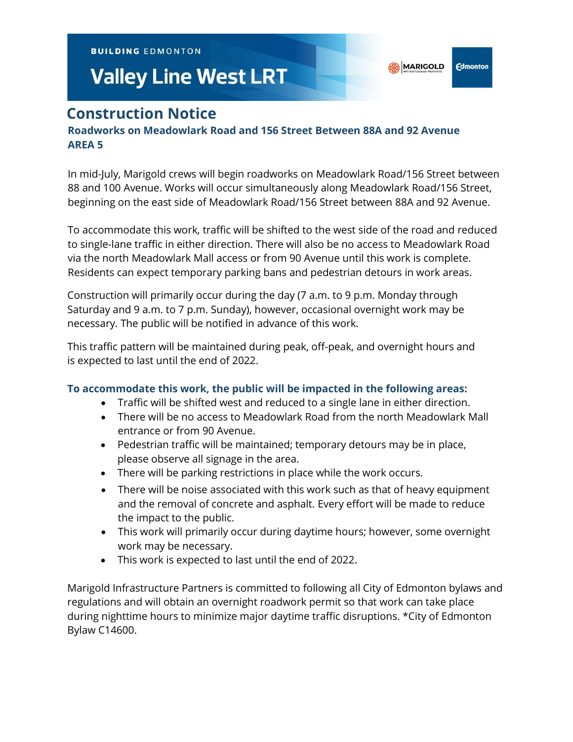**BUILDING EDMONTON** 

# **Valley Line West LRT**

**Edmonton** 

## **Construction Notice**

### **Roadworks on Meadowlark Road and 156 Street Between 88A and 92 Avenue AREA 5**

In mid-July, Marigold crews will begin roadworks on Meadowlark Road/156 Street between 88 and 100 Avenue. Works will occur simultaneously along Meadowlark Road/156 Street, beginning on the east side of Meadowlark Road/156 Street between 88A and 92 Avenue.

To accommodate this work, traffic will be shifted to the west side of the road and reduced to single-lane traffic in either direction. There will also be no access to Meadowlark Road via the north Meadowlark Mall access or from 90 Avenue until this work is complete. Residents can expect temporary parking bans and pedestrian detours in work areas.

Construction will primarily occur during the day (7 a.m. to 9 p.m. Monday through Saturday and 9 a.m. to 7 p.m. Sunday), however, occasional overnight work may be necessary. The public will be notified in advance of this work.

This traffic pattern will be maintained during peak, off-peak, and overnight hours and is expected to last until the end of 2022.

#### **To accommodate this work, the public will be impacted in the following areas:**

- Traffic will be shifted west and reduced to a single lane in either direction.
- There will be no access to Meadowlark Road from the north Meadowlark Mall entrance or from 90 Avenue.
- Pedestrian traffic will be maintained; temporary detours may be in place, please observe all signage in the area.
- There will be parking restrictions in place while the work occurs.
- There will be noise associated with this work such as that of heavy equipment and the removal of concrete and asphalt. Every effort will be made to reduce the impact to the public.
- This work will primarily occur during daytime hours; however, some overnight work may be necessary.
- This work is expected to last until the end of 2022.

Marigold Infrastructure Partners is committed to following all City of Edmonton bylaws and regulations and will obtain an overnight roadwork permit so that work can take place during nighttime hours to minimize major daytime traffic disruptions. \*City of Edmonton Bylaw C14600.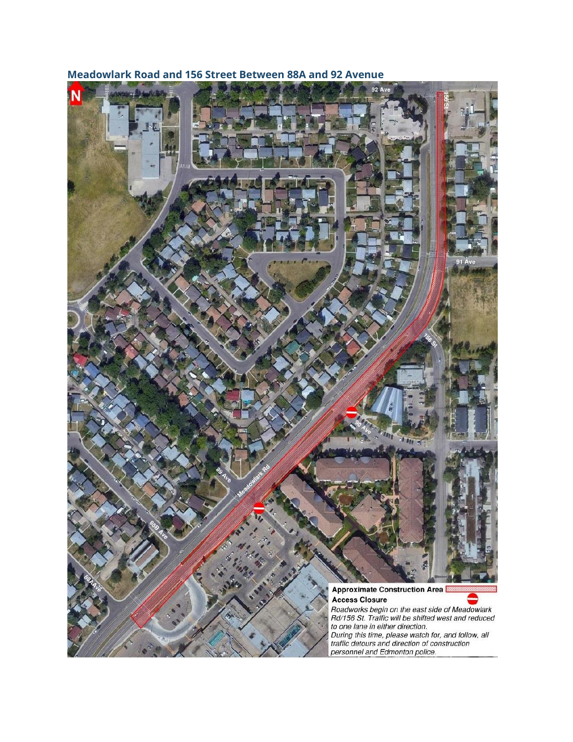